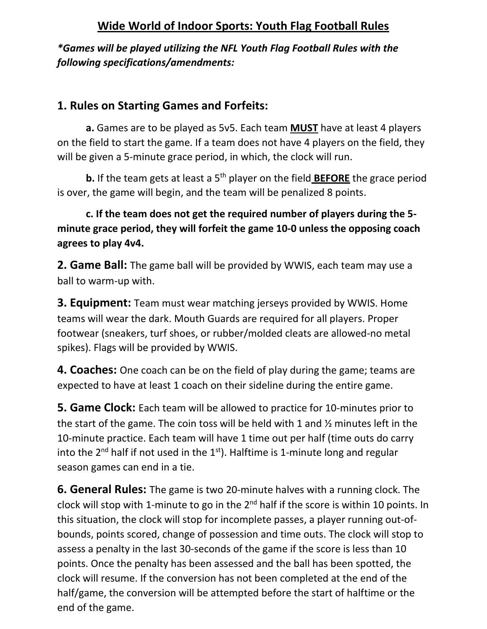## **Wide World of Indoor Sports: Youth Flag Football Rules**

*\*Games will be played utilizing the NFL Youth Flag Football Rules with the following specifications/amendments:* 

## **1. Rules on Starting Games and Forfeits:**

**a.** Games are to be played as 5v5. Each team **MUST** have at least 4 players on the field to start the game. If a team does not have 4 players on the field, they will be given a 5-minute grace period, in which, the clock will run.

**b.** If the team gets at least a 5<sup>th</sup> player on the field **BEFORE** the grace period is over, the game will begin, and the team will be penalized 8 points.

## **c. If the team does not get the required number of players during the 5 minute grace period, they will forfeit the game 10-0 unless the opposing coach agrees to play 4v4.**

**2. Game Ball:** The game ball will be provided by WWIS, each team may use a ball to warm-up with.

**3. Equipment:** Team must wear matching jerseys provided by WWIS. Home teams will wear the dark. Mouth Guards are required for all players. Proper footwear (sneakers, turf shoes, or rubber/molded cleats are allowed-no metal spikes). Flags will be provided by WWIS.

**4. Coaches:** One coach can be on the field of play during the game; teams are expected to have at least 1 coach on their sideline during the entire game.

**5. Game Clock:** Each team will be allowed to practice for 10-minutes prior to the start of the game. The coin toss will be held with 1 and ½ minutes left in the 10-minute practice. Each team will have 1 time out per half (time outs do carry into the  $2^{nd}$  half if not used in the  $1^{st}$ ). Halftime is 1-minute long and regular season games can end in a tie.

**6. General Rules:** The game is two 20-minute halves with a running clock. The clock will stop with 1-minute to go in the 2<sup>nd</sup> half if the score is within 10 points. In this situation, the clock will stop for incomplete passes, a player running out-ofbounds, points scored, change of possession and time outs. The clock will stop to assess a penalty in the last 30-seconds of the game if the score is less than 10 points. Once the penalty has been assessed and the ball has been spotted, the clock will resume. If the conversion has not been completed at the end of the half/game, the conversion will be attempted before the start of halftime or the end of the game.